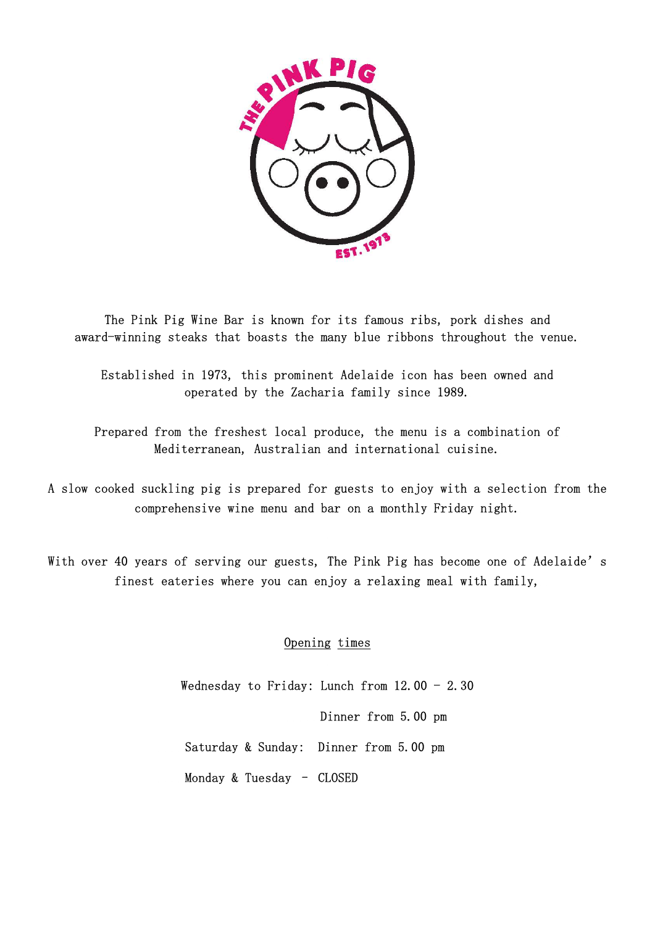

The Pink Pig Wine Bar is known for its famous ribs, pork dishes and award-winning steaks that boasts the many blue ribbons throughout the venue.

Established in 1973, this prominent Adelaide icon has been owned and operated by the Zacharia family since 1989.

Prepared from the freshest local produce, the menu is a combination of Mediterranean, Australian and international cuisine.

A slow cooked suckling pig is prepared for guests to enjoy with a selection from the comprehensive wine menu and bar on a monthly Friday night.

With over 40 years of serving our guests, The Pink Pig has become one of Adelaide's finest eateries where you can enjoy a relaxing meal with family,

## Opening times

Wednesday to Friday: Lunch from  $12.00 - 2.30$  Dinner from 5.00 pm Saturday & Sunday: Dinner from 5.00 pm Monday & Tuesday – CLOSED